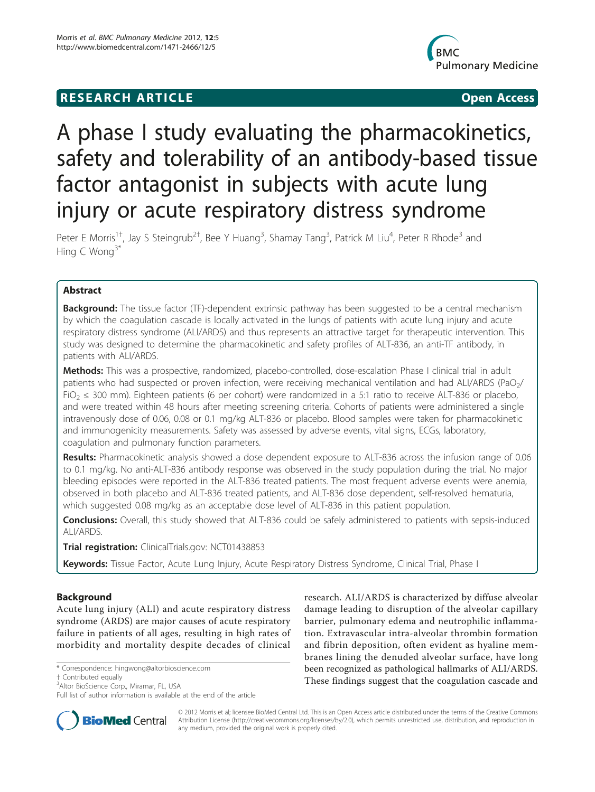# **RESEARCH ARTICLE Example 2018 CONSIDERING ACCESS**



# A phase I study evaluating the pharmacokinetics, safety and tolerability of an antibody-based tissue factor antagonist in subjects with acute lung injury or acute respiratory distress syndrome

Peter E Morris<sup>1†</sup>, Jay S Steingrub<sup>2†</sup>, Bee Y Huang<sup>3</sup>, Shamay Tang<sup>3</sup>, Patrick M Liu<sup>4</sup>, Peter R Rhode<sup>3</sup> and Hing C Wong $3^*$ 

# Abstract

**Background:** The tissue factor (TF)-dependent extrinsic pathway has been suggested to be a central mechanism by which the coagulation cascade is locally activated in the lungs of patients with acute lung injury and acute respiratory distress syndrome (ALI/ARDS) and thus represents an attractive target for therapeutic intervention. This study was designed to determine the pharmacokinetic and safety profiles of ALT-836, an anti-TF antibody, in patients with ALI/ARDS.

Methods: This was a prospective, randomized, placebo-controlled, dose-escalation Phase I clinical trial in adult patients who had suspected or proven infection, were receiving mechanical ventilation and had ALI/ARDS (PaO<sub>2</sub>/ FiO<sub>2</sub> ≤ 300 mm). Eighteen patients (6 per cohort) were randomized in a 5:1 ratio to receive ALT-836 or placebo, and were treated within 48 hours after meeting screening criteria. Cohorts of patients were administered a single intravenously dose of 0.06, 0.08 or 0.1 mg/kg ALT-836 or placebo. Blood samples were taken for pharmacokinetic and immunogenicity measurements. Safety was assessed by adverse events, vital signs, ECGs, laboratory, coagulation and pulmonary function parameters.

Results: Pharmacokinetic analysis showed a dose dependent exposure to ALT-836 across the infusion range of 0.06 to 0.1 mg/kg. No anti-ALT-836 antibody response was observed in the study population during the trial. No major bleeding episodes were reported in the ALT-836 treated patients. The most frequent adverse events were anemia, observed in both placebo and ALT-836 treated patients, and ALT-836 dose dependent, self-resolved hematuria, which suggested 0.08 mg/kg as an acceptable dose level of ALT-836 in this patient population.

Conclusions: Overall, this study showed that ALT-836 could be safely administered to patients with sepsis-induced ALI/ARDS.

Trial registration: ClinicalTrials.gov: [NCT01438853](http://www.clinicaltrials.gov/ct2/show/NCT01438853)

Keywords: Tissue Factor, Acute Lung Injury, Acute Respiratory Distress Syndrome, Clinical Trial, Phase I

# Background

Acute lung injury (ALI) and acute respiratory distress syndrome (ARDS) are major causes of acute respiratory failure in patients of all ages, resulting in high rates of morbidity and mortality despite decades of clinical

† Contributed equally <sup>3</sup>

<sup>3</sup>Altor BioScience Corp., Miramar, FL, USA

Full list of author information is available at the end of the article





© 2012 Morris et al; licensee BioMed Central Ltd. This is an Open Access article distributed under the terms of the Creative Commons Attribution License [\(http://creativecommons.org/licenses/by/2.0](http://creativecommons.org/licenses/by/2.0)), which permits unrestricted use, distribution, and reproduction in any medium, provided the original work is properly cited.

<sup>\*</sup> Correspondence: [hingwong@altorbioscience.com](mailto:hingwong@altorbioscience.com)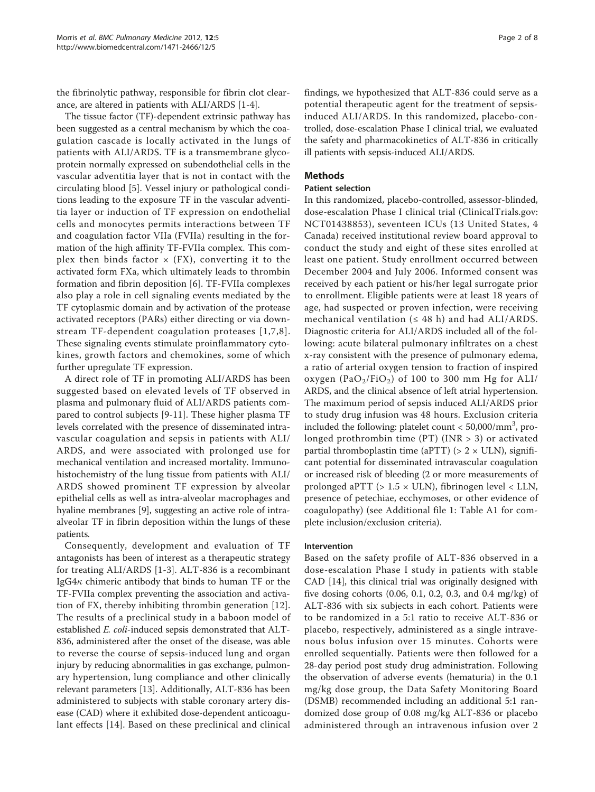the fibrinolytic pathway, responsible for fibrin clot clearance, are altered in patients with ALI/ARDS [[1-4\]](#page-6-0).

The tissue factor (TF)-dependent extrinsic pathway has been suggested as a central mechanism by which the coagulation cascade is locally activated in the lungs of patients with ALI/ARDS. TF is a transmembrane glycoprotein normally expressed on subendothelial cells in the vascular adventitia layer that is not in contact with the circulating blood [[5\]](#page-6-0). Vessel injury or pathological conditions leading to the exposure TF in the vascular adventitia layer or induction of TF expression on endothelial cells and monocytes permits interactions between TF and coagulation factor VIIa (FVIIa) resulting in the formation of the high affinity TF-FVIIa complex. This complex then binds factor  $\times$  (FX), converting it to the activated form FXa, which ultimately leads to thrombin formation and fibrin deposition [[6\]](#page-6-0). TF-FVIIa complexes also play a role in cell signaling events mediated by the TF cytoplasmic domain and by activation of the protease activated receptors (PARs) either directing or via downstream TF-dependent coagulation proteases [[1,7,8\]](#page-6-0). These signaling events stimulate proinflammatory cytokines, growth factors and chemokines, some of which further upregulate TF expression.

A direct role of TF in promoting ALI/ARDS has been suggested based on elevated levels of TF observed in plasma and pulmonary fluid of ALI/ARDS patients compared to control subjects [[9-](#page-6-0)[11\]](#page-7-0). These higher plasma TF levels correlated with the presence of disseminated intravascular coagulation and sepsis in patients with ALI/ ARDS, and were associated with prolonged use for mechanical ventilation and increased mortality. Immunohistochemistry of the lung tissue from patients with ALI/ ARDS showed prominent TF expression by alveolar epithelial cells as well as intra-alveolar macrophages and hyaline membranes [[9\]](#page-6-0), suggesting an active role of intraalveolar TF in fibrin deposition within the lungs of these patients.

Consequently, development and evaluation of TF antagonists has been of interest as a therapeutic strategy for treating ALI/ARDS [[1](#page-6-0)-[3\]](#page-6-0). ALT-836 is a recombinant IgG4 $\kappa$  chimeric antibody that binds to human TF or the TF-FVIIa complex preventing the association and activation of FX, thereby inhibiting thrombin generation [[12](#page-7-0)]. The results of a preclinical study in a baboon model of established E. coli-induced sepsis demonstrated that ALT-836, administered after the onset of the disease, was able to reverse the course of sepsis-induced lung and organ injury by reducing abnormalities in gas exchange, pulmonary hypertension, lung compliance and other clinically relevant parameters [[13](#page-7-0)]. Additionally, ALT-836 has been administered to subjects with stable coronary artery disease (CAD) where it exhibited dose-dependent anticoagulant effects [\[14\]](#page-7-0). Based on these preclinical and clinical findings, we hypothesized that ALT-836 could serve as a potential therapeutic agent for the treatment of sepsisinduced ALI/ARDS. In this randomized, placebo-controlled, dose-escalation Phase I clinical trial, we evaluated the safety and pharmacokinetics of ALT-836 in critically ill patients with sepsis-induced ALI/ARDS.

# Methods

#### Patient selection

In this randomized, placebo-controlled, assessor-blinded, dose-escalation Phase I clinical trial (ClinicalTrials.gov: [NCT01438853\)](http://www.clinicaltrials.gov/ct2/show/NCT01438853), seventeen ICUs (13 United States, 4 Canada) received institutional review board approval to conduct the study and eight of these sites enrolled at least one patient. Study enrollment occurred between December 2004 and July 2006. Informed consent was received by each patient or his/her legal surrogate prior to enrollment. Eligible patients were at least 18 years of age, had suspected or proven infection, were receiving mechanical ventilation ( $\leq$  48 h) and had ALI/ARDS. Diagnostic criteria for ALI/ARDS included all of the following: acute bilateral pulmonary infiltrates on a chest x-ray consistent with the presence of pulmonary edema, a ratio of arterial oxygen tension to fraction of inspired oxygen (Pa $O_2/FiO_2$ ) of 100 to 300 mm Hg for ALI/ ARDS, and the clinical absence of left atrial hypertension. The maximum period of sepsis induced ALI/ARDS prior to study drug infusion was 48 hours. Exclusion criteria included the following: platelet count < 50,000/mm<sup>3</sup> , prolonged prothrombin time (PT) (INR > 3) or activated partial thromboplastin time (aPTT) ( $> 2 \times$  ULN), significant potential for disseminated intravascular coagulation or increased risk of bleeding (2 or more measurements of prolonged aPTT (> 1.5 × ULN), fibrinogen level < LLN, presence of petechiae, ecchymoses, or other evidence of coagulopathy) (see Additional file [1:](#page-6-0) Table A1 for complete inclusion/exclusion criteria).

# Intervention

Based on the safety profile of ALT-836 observed in a dose-escalation Phase I study in patients with stable CAD [\[14\]](#page-7-0), this clinical trial was originally designed with five dosing cohorts (0.06, 0.1, 0.2, 0.3, and 0.4 mg/kg) of ALT-836 with six subjects in each cohort. Patients were to be randomized in a 5:1 ratio to receive ALT-836 or placebo, respectively, administered as a single intravenous bolus infusion over 15 minutes. Cohorts were enrolled sequentially. Patients were then followed for a 28-day period post study drug administration. Following the observation of adverse events (hematuria) in the 0.1 mg/kg dose group, the Data Safety Monitoring Board (DSMB) recommended including an additional 5:1 randomized dose group of 0.08 mg/kg ALT-836 or placebo administered through an intravenous infusion over 2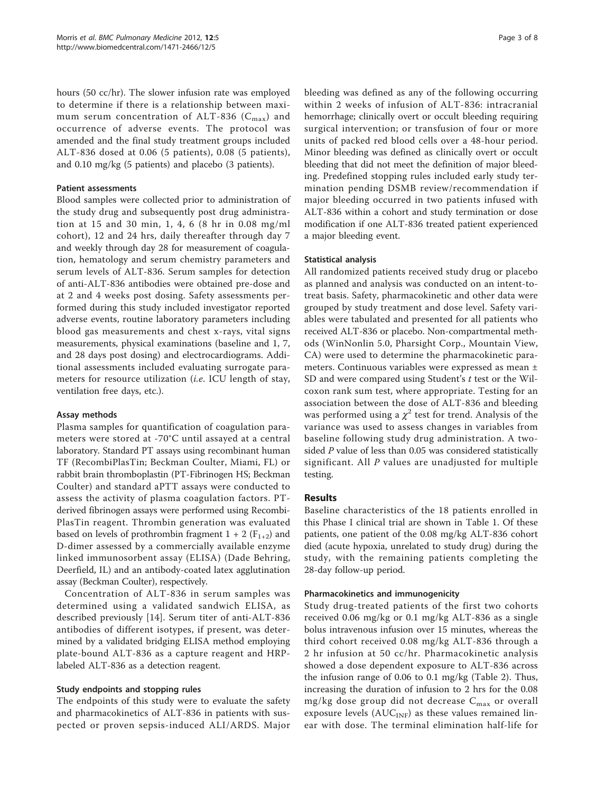hours (50 cc/hr). The slower infusion rate was employed to determine if there is a relationship between maximum serum concentration of ALT-836 ( $C_{\text{max}}$ ) and occurrence of adverse events. The protocol was amended and the final study treatment groups included ALT-836 dosed at 0.06 (5 patients), 0.08 (5 patients), and 0.10 mg/kg (5 patients) and placebo (3 patients).

# Patient assessments

Blood samples were collected prior to administration of the study drug and subsequently post drug administration at 15 and 30 min, 1, 4, 6 (8 hr in 0.08 mg/ml cohort), 12 and 24 hrs, daily thereafter through day 7 and weekly through day 28 for measurement of coagulation, hematology and serum chemistry parameters and serum levels of ALT-836. Serum samples for detection of anti-ALT-836 antibodies were obtained pre-dose and at 2 and 4 weeks post dosing. Safety assessments performed during this study included investigator reported adverse events, routine laboratory parameters including blood gas measurements and chest x-rays, vital signs measurements, physical examinations (baseline and 1, 7, and 28 days post dosing) and electrocardiograms. Additional assessments included evaluating surrogate parameters for resource utilization *(i.e.* ICU length of stay, ventilation free days, etc.).

# Assay methods

Plasma samples for quantification of coagulation parameters were stored at -70°C until assayed at a central laboratory. Standard PT assays using recombinant human TF (RecombiPlasTin; Beckman Coulter, Miami, FL) or rabbit brain thromboplastin (PT-Fibrinogen HS; Beckman Coulter) and standard aPTT assays were conducted to assess the activity of plasma coagulation factors. PTderived fibrinogen assays were performed using Recombi-PlasTin reagent. Thrombin generation was evaluated based on levels of prothrombin fragment  $1 + 2$  ( $F_{1+2}$ ) and D-dimer assessed by a commercially available enzyme linked immunosorbent assay (ELISA) (Dade Behring, Deerfield, IL) and an antibody-coated latex agglutination assay (Beckman Coulter), respectively.

Concentration of ALT-836 in serum samples was determined using a validated sandwich ELISA, as described previously [[14\]](#page-7-0). Serum titer of anti-ALT-836 antibodies of different isotypes, if present, was determined by a validated bridging ELISA method employing plate-bound ALT-836 as a capture reagent and HRPlabeled ALT-836 as a detection reagent.

#### Study endpoints and stopping rules

The endpoints of this study were to evaluate the safety and pharmacokinetics of ALT-836 in patients with suspected or proven sepsis-induced ALI/ARDS. Major bleeding was defined as any of the following occurring within 2 weeks of infusion of ALT-836: intracranial hemorrhage; clinically overt or occult bleeding requiring surgical intervention; or transfusion of four or more units of packed red blood cells over a 48-hour period. Minor bleeding was defined as clinically overt or occult bleeding that did not meet the definition of major bleeding. Predefined stopping rules included early study termination pending DSMB review/recommendation if major bleeding occurred in two patients infused with ALT-836 within a cohort and study termination or dose modification if one ALT-836 treated patient experienced a major bleeding event.

#### Statistical analysis

All randomized patients received study drug or placebo as planned and analysis was conducted on an intent-totreat basis. Safety, pharmacokinetic and other data were grouped by study treatment and dose level. Safety variables were tabulated and presented for all patients who received ALT-836 or placebo. Non-compartmental methods (WinNonlin 5.0, Pharsight Corp., Mountain View, CA) were used to determine the pharmacokinetic parameters. Continuous variables were expressed as mean ± SD and were compared using Student's t test or the Wilcoxon rank sum test, where appropriate. Testing for an association between the dose of ALT-836 and bleeding was performed using a  $\chi^2$  test for trend. Analysis of the variance was used to assess changes in variables from baseline following study drug administration. A twosided P value of less than 0.05 was considered statistically significant. All P values are unadjusted for multiple testing.

### Results

Baseline characteristics of the 18 patients enrolled in this Phase I clinical trial are shown in Table [1.](#page-3-0) Of these patients, one patient of the 0.08 mg/kg ALT-836 cohort died (acute hypoxia, unrelated to study drug) during the study, with the remaining patients completing the 28-day follow-up period.

#### Pharmacokinetics and immunogenicity

Study drug-treated patients of the first two cohorts received 0.06 mg/kg or 0.1 mg/kg ALT-836 as a single bolus intravenous infusion over 15 minutes, whereas the third cohort received 0.08 mg/kg ALT-836 through a 2 hr infusion at 50 cc/hr. Pharmacokinetic analysis showed a dose dependent exposure to ALT-836 across the infusion range of 0.06 to 0.1 mg/kg (Table [2\)](#page-3-0). Thus, increasing the duration of infusion to 2 hrs for the 0.08 mg/kg dose group did not decrease  $C_{\text{max}}$  or overall exposure levels ( $AUC_{INF}$ ) as these values remained linear with dose. The terminal elimination half-life for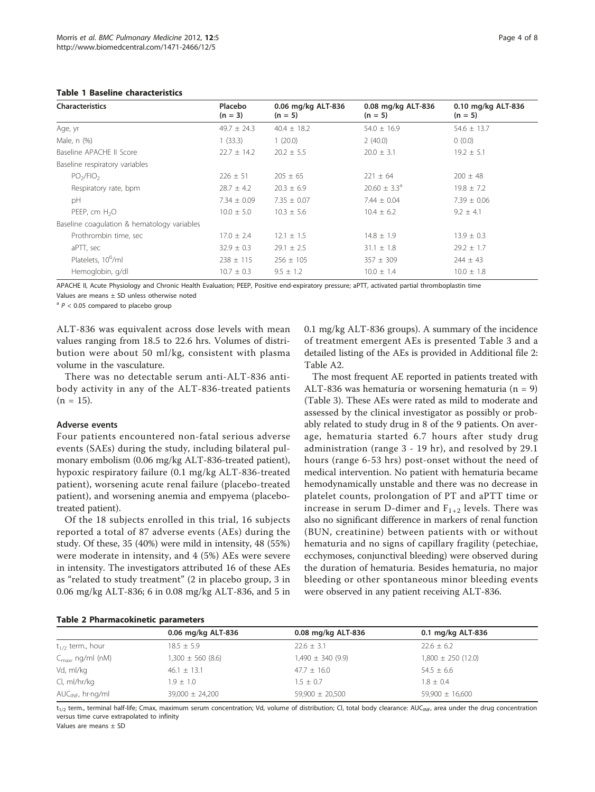#### <span id="page-3-0"></span>Table 1 Baseline characteristics

| <b>Characteristics</b>                      | Placebo<br>$(n = 3)$ | 0.06 mg/kg ALT-836<br>$(n = 5)$ | 0.08 mg/kg ALT-836<br>$(n = 5)$ | 0.10 mg/kg ALT-836<br>$(n = 5)$ |
|---------------------------------------------|----------------------|---------------------------------|---------------------------------|---------------------------------|
| Age, yr                                     | $49.7 \pm 24.3$      | $40.4 \pm 18.2$                 | $54.0 \pm 16.9$                 | $54.6 \pm 13.7$                 |
| Male, n (%)                                 | 1(33.3)              | 1(20.0)                         | 2(40.0)                         | 0(0.0)                          |
| Baseline APACHE II Score                    | $22.7 \pm 14.2$      | $20.2 \pm 5.5$                  | $20.0 \pm 3.1$                  | $19.2 \pm 5.1$                  |
| Baseline respiratory variables              |                      |                                 |                                 |                                 |
| PO <sub>2</sub> /FIO <sub>2</sub>           | $226 \pm 51$         | $205 \pm 65$                    | $221 \pm 64$                    | $200 + 48$                      |
| Respiratory rate, bpm                       | $28.7 \pm 4.2$       | $20.3 \pm 6.9$                  | $20.60 \pm 3.3^{\circ}$         | $19.8 \pm 7.2$                  |
| pH                                          | $7.34 \pm 0.09$      | $7.35 \pm 0.07$                 | $7.44 \pm 0.04$                 | $7.39 \pm 0.06$                 |
| PEEP, cm $H_2O$                             | $10.0 \pm 5.0$       | $10.3 \pm 5.6$                  | $10.4 \pm 6.2$                  | $9.2 + 4.1$                     |
| Baseline coagulation & hematology variables |                      |                                 |                                 |                                 |
| Prothrombin time, sec                       | $17.0 \pm 2.4$       | $12.1 \pm 1.5$                  | $14.8 \pm 1.9$                  | $13.9 \pm 0.3$                  |
| aPTT, sec                                   | $32.9 \pm 0.3$       | $29.1 \pm 2.5$                  | $31.1 \pm 1.8$                  | $29.2 \pm 1.7$                  |
| Platelets, 10 <sup>6</sup> /ml              | $238 \pm 115$        | $256 \pm 105$                   | $357 + 309$                     | $244 \pm 43$                    |
| Hemoglobin, g/dl                            | $10.7 \pm 0.3$       | $9.5 \pm 1.2$                   | $10.0 \pm 1.4$                  | $10.0 \pm 1.8$                  |

APACHE II, Acute Physiology and Chronic Health Evaluation; PEEP, Positive end-expiratory pressure; aPTT, activated partial thromboplastin time Values are means ± SD unless otherwise noted

 $a^2$  P < 0.05 compared to placebo group

ALT-836 was equivalent across dose levels with mean values ranging from 18.5 to 22.6 hrs. Volumes of distribution were about 50 ml/kg, consistent with plasma volume in the vasculature.

There was no detectable serum anti-ALT-836 antibody activity in any of the ALT-836-treated patients  $(n = 15)$ .

# Adverse events

Four patients encountered non-fatal serious adverse events (SAEs) during the study, including bilateral pulmonary embolism (0.06 mg/kg ALT-836-treated patient), hypoxic respiratory failure (0.1 mg/kg ALT-836-treated patient), worsening acute renal failure (placebo-treated patient), and worsening anemia and empyema (placebotreated patient).

Of the 18 subjects enrolled in this trial, 16 subjects reported a total of 87 adverse events (AEs) during the study. Of these, 35 (40%) were mild in intensity, 48 (55%) were moderate in intensity, and 4 (5%) AEs were severe in intensity. The investigators attributed 16 of these AEs as "related to study treatment" (2 in placebo group, 3 in 0.06 mg/kg ALT-836; 6 in 0.08 mg/kg ALT-836, and 5 in 0.1 mg/kg ALT-836 groups). A summary of the incidence of treatment emergent AEs is presented Table [3](#page-4-0) and a detailed listing of the AEs is provided in Additional file [2](#page-6-0): Table A2.

The most frequent AE reported in patients treated with ALT-836 was hematuria or worsening hematuria ( $n = 9$ ) (Table [3\)](#page-4-0). These AEs were rated as mild to moderate and assessed by the clinical investigator as possibly or probably related to study drug in 8 of the 9 patients. On average, hematuria started 6.7 hours after study drug administration (range 3 - 19 hr), and resolved by 29.1 hours (range 6-53 hrs) post-onset without the need of medical intervention. No patient with hematuria became hemodynamically unstable and there was no decrease in platelet counts, prolongation of PT and aPTT time or increase in serum D-dimer and  $F_{1+2}$  levels. There was also no significant difference in markers of renal function (BUN, creatinine) between patients with or without hematuria and no signs of capillary fragility (petechiae, ecchymoses, conjunctival bleeding) were observed during the duration of hematuria. Besides hematuria, no major bleeding or other spontaneous minor bleeding events were observed in any patient receiving ALT-836.

#### Table 2 Pharmacokinetic parameters

|                               | 0.06 mg/kg ALT-836    | 0.08 mg/kg ALT-836    | 0.1 mg/kg ALT-836      |
|-------------------------------|-----------------------|-----------------------|------------------------|
| $t_{1/2}$ term., hour         | $18.5 \pm 5.9$        | $22.6 \pm 3.1$        | $22.6 \pm 6.2$         |
| $C_{\text{max}}$ , ng/ml (nM) | $1,300 \pm 560$ (8.6) | $1,490 \pm 340 (9.9)$ | $1,800 \pm 250$ (12.0) |
| Vd, ml/kg                     | $46.1 \pm 13.1$       | $47.7 \pm 16.0$       | $54.5 \pm 6.6$         |
| CI, ml/hr/kg                  | $1.9 \pm 1.0$         | $1.5 + 0.7$           | $1.8 \pm 0.4$          |
| $AUC_{INF}$ , hr $nq/ml$      | $39,000 \pm 24,200$   | $59,900 \pm 20,500$   | $59,900 \pm 16,600$    |

 $t_{1/2}$  term., terminal half-life; Cmax, maximum serum concentration; Vd, volume of distribution; Cl, total body clearance: AUC<sub>INF</sub>, area under the drug concentration versus time curve extrapolated to infinity

Values are means ± SD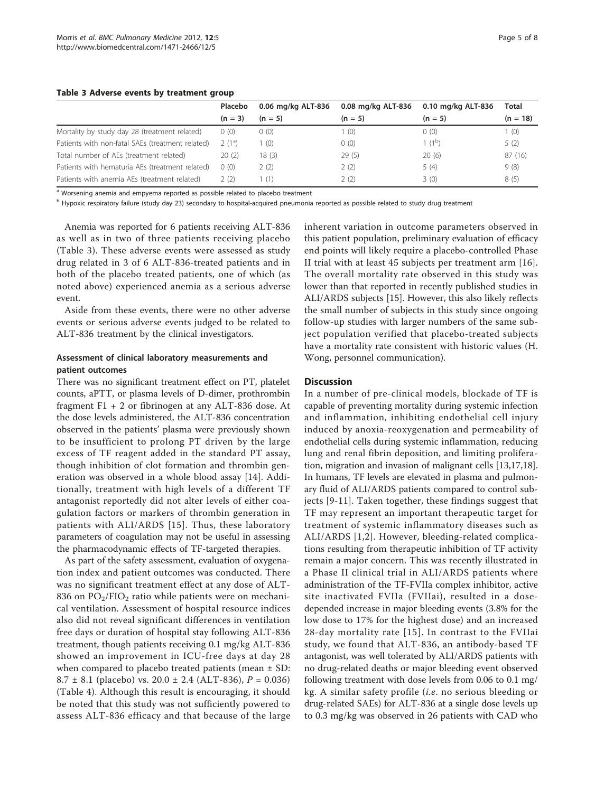#### <span id="page-4-0"></span>Table 3 Adverse events by treatment group

|                                                  | Placebo   | 0.06 mg/kg ALT-836 | 0.08 mg/kg ALT-836 | 0.10 mg/kg ALT-836 | <b>Total</b> |
|--------------------------------------------------|-----------|--------------------|--------------------|--------------------|--------------|
|                                                  | $(n = 3)$ | $(n = 5)$          | $(n = 5)$          | $(n = 5)$          | $(n = 18)$   |
| Mortality by study day 28 (treatment related)    | 0(0)      | 0(0)               | (0)                | 0(0)               | 1(0)         |
| Patients with non-fatal SAEs (treatment related) | $2(1^a)$  | (0)                | 0(0)               | $1(1^{\circ})$     | 5(2)         |
| Total number of AEs (treatment related)          | 20(2)     | 18(3)              | 29(5)              | 20(6)              | 87(16)       |
| Patients with hematuria AEs (treatment related)  | 0(0)      | 2(2)               | 2(2)               | 5(4)               | 9(8)         |
| Patients with anemia AEs (treatment related)     | 2(2)      | (1)                | 2(2)               | 3(0)               | 8(5)         |

<sup>a</sup> Worsening anemia and empyema reported as possible related to placebo treatment

<sup>b</sup> Hypoxic respiratory failure (study day 23) secondary to hospital-acquired pneumonia reported as possible related to study drug treatment

Anemia was reported for 6 patients receiving ALT-836 as well as in two of three patients receiving placebo (Table 3). These adverse events were assessed as study drug related in 3 of 6 ALT-836-treated patients and in both of the placebo treated patients, one of which (as noted above) experienced anemia as a serious adverse event.

Aside from these events, there were no other adverse events or serious adverse events judged to be related to ALT-836 treatment by the clinical investigators.

# Assessment of clinical laboratory measurements and patient outcomes

There was no significant treatment effect on PT, platelet counts, aPTT, or plasma levels of D-dimer, prothrombin fragment  $F1 + 2$  or fibrinogen at any ALT-836 dose. At the dose levels administered, the ALT-836 concentration observed in the patients' plasma were previously shown to be insufficient to prolong PT driven by the large excess of TF reagent added in the standard PT assay, though inhibition of clot formation and thrombin generation was observed in a whole blood assay [\[14](#page-7-0)]. Additionally, treatment with high levels of a different TF antagonist reportedly did not alter levels of either coagulation factors or markers of thrombin generation in patients with ALI/ARDS [[15](#page-7-0)]. Thus, these laboratory parameters of coagulation may not be useful in assessing the pharmacodynamic effects of TF-targeted therapies.

As part of the safety assessment, evaluation of oxygenation index and patient outcomes was conducted. There was no significant treatment effect at any dose of ALT-836 on  $PO_2/FIO_2$  ratio while patients were on mechanical ventilation. Assessment of hospital resource indices also did not reveal significant differences in ventilation free days or duration of hospital stay following ALT-836 treatment, though patients receiving 0.1 mg/kg ALT-836 showed an improvement in ICU-free days at day 28 when compared to placebo treated patients (mean  $\pm$  SD: 8.7  $\pm$  8.1 (placebo) vs. 20.0  $\pm$  2.4 (ALT-836), P = 0.036) (Table [4\)](#page-5-0). Although this result is encouraging, it should be noted that this study was not sufficiently powered to assess ALT-836 efficacy and that because of the large inherent variation in outcome parameters observed in this patient population, preliminary evaluation of efficacy end points will likely require a placebo-controlled Phase II trial with at least 45 subjects per treatment arm [[16](#page-7-0)]. The overall mortality rate observed in this study was lower than that reported in recently published studies in ALI/ARDS subjects [\[15\]](#page-7-0). However, this also likely reflects the small number of subjects in this study since ongoing follow-up studies with larger numbers of the same subject population verified that placebo-treated subjects have a mortality rate consistent with historic values (H. Wong, personnel communication).

# **Discussion**

In a number of pre-clinical models, blockade of TF is capable of preventing mortality during systemic infection and inflammation, inhibiting endothelial cell injury induced by anoxia-reoxygenation and permeability of endothelial cells during systemic inflammation, reducing lung and renal fibrin deposition, and limiting proliferation, migration and invasion of malignant cells [[13](#page-7-0),[17](#page-7-0),[18](#page-7-0)]. In humans, TF levels are elevated in plasma and pulmonary fluid of ALI/ARDS patients compared to control subjects [[9-](#page-6-0)[11\]](#page-7-0). Taken together, these findings suggest that TF may represent an important therapeutic target for treatment of systemic inflammatory diseases such as ALI/ARDS [[1,2](#page-6-0)]. However, bleeding-related complications resulting from therapeutic inhibition of TF activity remain a major concern. This was recently illustrated in a Phase II clinical trial in ALI/ARDS patients where administration of the TF-FVIIa complex inhibitor, active site inactivated FVIIa (FVIIai), resulted in a dosedepended increase in major bleeding events (3.8% for the low dose to 17% for the highest dose) and an increased 28-day mortality rate [[15](#page-7-0)]. In contrast to the FVIIai study, we found that ALT-836, an antibody-based TF antagonist, was well tolerated by ALI/ARDS patients with no drug-related deaths or major bleeding event observed following treatment with dose levels from 0.06 to 0.1 mg/ kg. A similar safety profile (i.e. no serious bleeding or drug-related SAEs) for ALT-836 at a single dose levels up to 0.3 mg/kg was observed in 26 patients with CAD who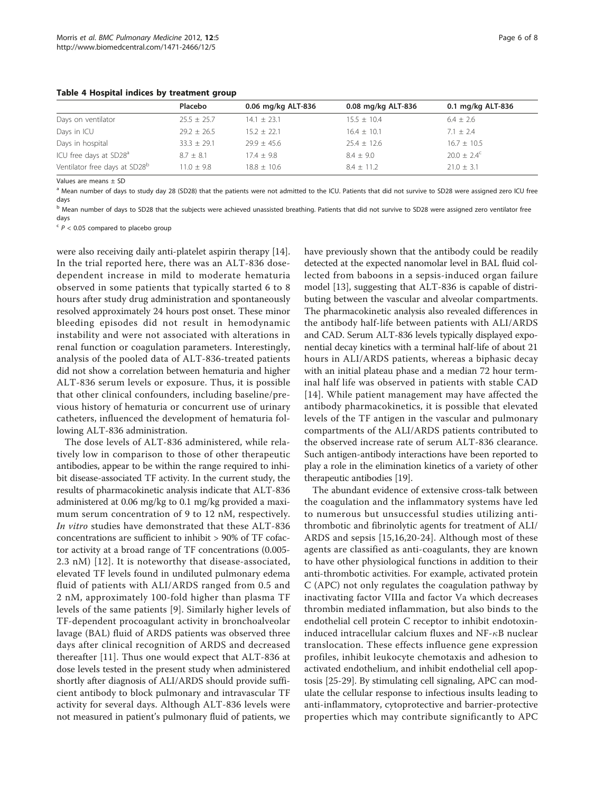<span id="page-5-0"></span>Table 4 Hospital indices by treatment group

|                                           | Placebo         | 0.06 mg/kg ALT-836 | 0.08 mg/kg ALT-836 | 0.1 mg/kg ALT-836    |
|-------------------------------------------|-----------------|--------------------|--------------------|----------------------|
| Days on ventilator                        | $25.5 \pm 25.7$ | $14.1 \pm 23.1$    | $15.5 \pm 10.4$    | $6.4 \pm 2.6$        |
| Days in ICU                               | $29.2 \pm 26.5$ | $15.2 \pm 22.1$    | $16.4 \pm 10.1$    | $7.1 + 2.4$          |
| Days in hospital                          | $33.3 \pm 29.1$ | $29.9 \pm 45.6$    | $25.4 \pm 12.6$    | $16.7 \pm 10.5$      |
| ICU free days at SD28 <sup>a</sup>        | $8.7 + 8.1$     | $17.4 + 9.8$       | $8.4 + 9.0$        | $20.0 + 2.4^{\circ}$ |
| Ventilator free days at SD28 <sup>b</sup> | $11.0 + 9.8$    | $18.8 \pm 10.6$    | $8.4 + 11.2$       | $21.0 + 3.1$         |

Values are means ± SD

<sup>a</sup> Mean number of days to study day 28 (SD28) that the patients were not admitted to the ICU. Patients that did not survive to SD28 were assigned zero ICU free days

<sup>b</sup> Mean number of days to SD28 that the subjects were achieved unassisted breathing. Patients that did not survive to SD28 were assigned zero ventilator free days

 $c$   $P$  < 0.05 compared to placebo group

were also receiving daily anti-platelet aspirin therapy [[14](#page-7-0)]. In the trial reported here, there was an ALT-836 dosedependent increase in mild to moderate hematuria observed in some patients that typically started 6 to 8 hours after study drug administration and spontaneously resolved approximately 24 hours post onset. These minor bleeding episodes did not result in hemodynamic instability and were not associated with alterations in renal function or coagulation parameters. Interestingly, analysis of the pooled data of ALT-836-treated patients did not show a correlation between hematuria and higher ALT-836 serum levels or exposure. Thus, it is possible that other clinical confounders, including baseline/previous history of hematuria or concurrent use of urinary catheters, influenced the development of hematuria following ALT-836 administration.

The dose levels of ALT-836 administered, while relatively low in comparison to those of other therapeutic antibodies, appear to be within the range required to inhibit disease-associated TF activity. In the current study, the results of pharmacokinetic analysis indicate that ALT-836 administered at 0.06 mg/kg to 0.1 mg/kg provided a maximum serum concentration of 9 to 12 nM, respectively. In vitro studies have demonstrated that these ALT-836 concentrations are sufficient to inhibit > 90% of TF cofactor activity at a broad range of TF concentrations (0.005- 2.3 nM) [[12](#page-7-0)]. It is noteworthy that disease-associated, elevated TF levels found in undiluted pulmonary edema fluid of patients with ALI/ARDS ranged from 0.5 and 2 nM, approximately 100-fold higher than plasma TF levels of the same patients [\[9](#page-6-0)]. Similarly higher levels of TF-dependent procoagulant activity in bronchoalveolar lavage (BAL) fluid of ARDS patients was observed three days after clinical recognition of ARDS and decreased thereafter [\[11](#page-7-0)]. Thus one would expect that ALT-836 at dose levels tested in the present study when administered shortly after diagnosis of ALI/ARDS should provide sufficient antibody to block pulmonary and intravascular TF activity for several days. Although ALT-836 levels were not measured in patient's pulmonary fluid of patients, we have previously shown that the antibody could be readily detected at the expected nanomolar level in BAL fluid collected from baboons in a sepsis-induced organ failure model [\[13](#page-7-0)], suggesting that ALT-836 is capable of distributing between the vascular and alveolar compartments. The pharmacokinetic analysis also revealed differences in the antibody half-life between patients with ALI/ARDS and CAD. Serum ALT-836 levels typically displayed exponential decay kinetics with a terminal half-life of about 21 hours in ALI/ARDS patients, whereas a biphasic decay with an initial plateau phase and a median 72 hour terminal half life was observed in patients with stable CAD [[14](#page-7-0)]. While patient management may have affected the antibody pharmacokinetics, it is possible that elevated levels of the TF antigen in the vascular and pulmonary compartments of the ALI/ARDS patients contributed to the observed increase rate of serum ALT-836 clearance. Such antigen-antibody interactions have been reported to play a role in the elimination kinetics of a variety of other therapeutic antibodies [\[19](#page-7-0)].

The abundant evidence of extensive cross-talk between the coagulation and the inflammatory systems have led to numerous but unsuccessful studies utilizing antithrombotic and fibrinolytic agents for treatment of ALI/ ARDS and sepsis [\[15](#page-7-0),[16,20](#page-7-0)-[24](#page-7-0)]. Although most of these agents are classified as anti-coagulants, they are known to have other physiological functions in addition to their anti-thrombotic activities. For example, activated protein C (APC) not only regulates the coagulation pathway by inactivating factor VIIIa and factor Va which decreases thrombin mediated inflammation, but also binds to the endothelial cell protein C receptor to inhibit endotoxininduced intracellular calcium fluxes and NF- $\kappa$ B nuclear translocation. These effects influence gene expression profiles, inhibit leukocyte chemotaxis and adhesion to activated endothelium, and inhibit endothelial cell apoptosis [[25-29\]](#page-7-0). By stimulating cell signaling, APC can modulate the cellular response to infectious insults leading to anti-inflammatory, cytoprotective and barrier-protective properties which may contribute significantly to APC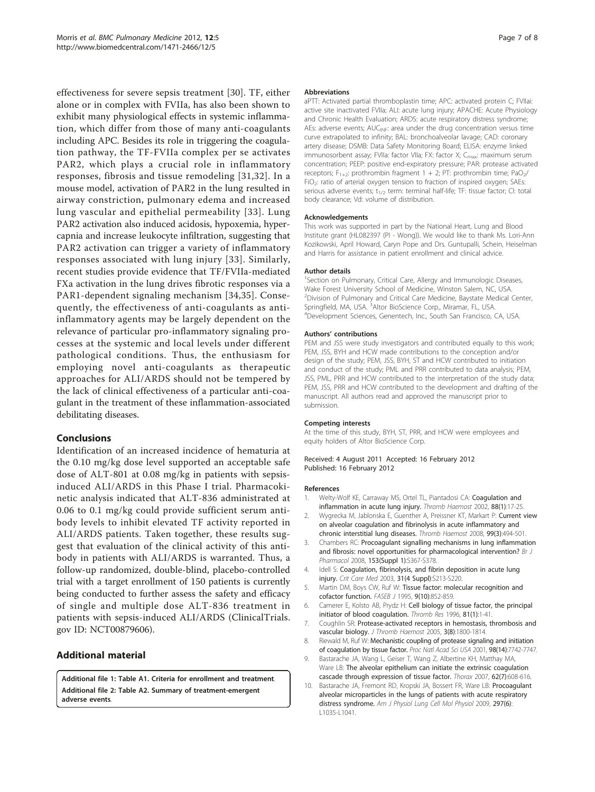<span id="page-6-0"></span>effectiveness for severe sepsis treatment [[30\]](#page-7-0). TF, either alone or in complex with FVIIa, has also been shown to exhibit many physiological effects in systemic inflammation, which differ from those of many anti-coagulants including APC. Besides its role in triggering the coagulation pathway, the TF-FVIIa complex per se activates PAR2, which plays a crucial role in inflammatory responses, fibrosis and tissue remodeling [[31,32\]](#page-7-0). In a mouse model, activation of PAR2 in the lung resulted in airway constriction, pulmonary edema and increased lung vascular and epithelial permeability [[33\]](#page-7-0). Lung PAR2 activation also induced acidosis, hypoxemia, hypercapnia and increase leukocyte infiltration, suggesting that PAR2 activation can trigger a variety of inflammatory responses associated with lung injury [[33\]](#page-7-0). Similarly, recent studies provide evidence that TF/FVIIa-mediated FXa activation in the lung drives fibrotic responses via a PAR1-dependent signaling mechanism [[34,35\]](#page-7-0). Consequently, the effectiveness of anti-coagulants as antiinflammatory agents may be largely dependent on the relevance of particular pro-inflammatory signaling processes at the systemic and local levels under different pathological conditions. Thus, the enthusiasm for employing novel anti-coagulants as therapeutic approaches for ALI/ARDS should not be tempered by the lack of clinical effectiveness of a particular anti-coagulant in the treatment of these inflammation-associated debilitating diseases.

# Conclusions

Identification of an increased incidence of hematuria at the 0.10 mg/kg dose level supported an acceptable safe dose of ALT-801 at 0.08 mg/kg in patients with sepsisinduced ALI/ARDS in this Phase I trial. Pharmacokinetic analysis indicated that ALT-836 administrated at 0.06 to 0.1 mg/kg could provide sufficient serum antibody levels to inhibit elevated TF activity reported in ALI/ARDS patients. Taken together, these results suggest that evaluation of the clinical activity of this antibody in patients with ALI/ARDS is warranted. Thus, a follow-up randomized, double-blind, placebo-controlled trial with a target enrollment of 150 patients is currently being conducted to further assess the safety and efficacy of single and multiple dose ALT-836 treatment in patients with sepsis-induced ALI/ARDS (ClinicalTrials. gov ID: [NCT00879606\)](http://www.clinicaltrials.gov/ct2/show/NCT00879606).

# Additional material

[Additional file 1: T](http://www.biomedcentral.com/content/supplementary/1471-2466-12-5-S1.PDF)able A1. Criteria for enrollment and treatment. [Additional file 2: T](http://www.biomedcentral.com/content/supplementary/1471-2466-12-5-S2.PDF)able A2. Summary of treatment-emergent adverse events.

#### Abbreviations

aPTT: Activated partial thromboplastin time; APC: activated protein C; FVIIai: active site inactivated FVIIa; ALI: acute lung injury; APACHE: Acute Physiology and Chronic Health Evaluation; ARDS: acute respiratory distress syndrome; AEs: adverse events; AUC<sub>INF</sub>: area under the drug concentration versus time curve extrapolated to infinity; BAL: bronchoalveolar lavage; CAD: coronary artery disease; DSMB: Data Safety Monitoring Board; ELISA: enzyme linked immunosorbent assay; FVIIa: factor VIIa; FX: factor X; C<sub>max</sub>: maximum serum concentration; PEEP: positive end-expiratory pressure; PAR: protease activated receptors;  $F_{1+2}$ : prothrombin fragment  $1 + 2$ ; PT: prothrombin time; PaO<sub>2</sub>/ FiO<sub>2</sub>: ratio of arterial oxygen tension to fraction of inspired oxygen; SAEs: serious adverse events;  $t_{1/2}$  term: terminal half-life; TF: tissue factor; CI: total body clearance; Vd: volume of distribution.

#### Acknowledgements

This work was supported in part by the National Heart, Lung and Blood Institute grant (HL082397 (PI - Wong)). We would like to thank Ms. Lori-Ann Kozikowski, April Howard, Caryn Pope and Drs. Guntupalli, Schein, Heiselman and Harris for assistance in patient enrollment and clinical advice.

#### Author details

<sup>1</sup>Section on Pulmonary, Critical Care, Allergy and Immunologic Diseases, Wake Forest University School of Medicine, Winston Salem, NC, USA. <sup>2</sup> Division of Pulmonary and Critical Care Medicine, Baystate Medical Center Springfield, MA, USA. <sup>3</sup>Altor BioScience Corp., Miramar, FL, USA.<br><sup>4</sup>Development Sciences Genentech Inc. South San Francisco. Development Sciences, Genentech, Inc., South San Francisco, CA, USA.

#### Authors' contributions

PEM and JSS were study investigators and contributed equally to this work; PEM, JSS, BYH and HCW made contributions to the conception and/or design of the study; PEM, JSS, BYH, ST and HCW contributed to initiation and conduct of the study; PML and PRR contributed to data analysis; PEM, JSS, PML, PRR and HCW contributed to the interpretation of the study data; PEM, JSS, PRR and HCW contributed to the development and drafting of the manuscript. All authors read and approved the manuscript prior to submission.

#### Competing interests

At the time of this study, BYH, ST, PRR, and HCW were employees and equity holders of Altor BioScience Corp.

Received: 4 August 2011 Accepted: 16 February 2012 Published: 16 February 2012

#### References

- 1. Welty-Wolf KE, Carraway MS, Ortel TL, Piantadosi CA: [Coagulation and](http://www.ncbi.nlm.nih.gov/pubmed/12152667?dopt=Abstract) [inflammation in acute lung injury.](http://www.ncbi.nlm.nih.gov/pubmed/12152667?dopt=Abstract) Thromb Haemost 2002, 88(1):17-25.
- 2. Wygrecka M, Jablonska E, Guenther A, Preissner KT, Markart P: [Current view](http://www.ncbi.nlm.nih.gov/pubmed/18327397?dopt=Abstract) [on alveolar coagulation and fibrinolysis in acute inflammatory and](http://www.ncbi.nlm.nih.gov/pubmed/18327397?dopt=Abstract) [chronic interstitial lung diseases.](http://www.ncbi.nlm.nih.gov/pubmed/18327397?dopt=Abstract) Thromb Haemost 2008, 99(3):494-501.
- Chambers RC: [Procoagulant signalling mechanisms in lung inflammation](http://www.ncbi.nlm.nih.gov/pubmed/18223674?dopt=Abstract) [and fibrosis: novel opportunities for pharmacological intervention?](http://www.ncbi.nlm.nih.gov/pubmed/18223674?dopt=Abstract) Br J Pharmacol 2008, 153(Suppl 1):S367-S378.
- 4. Idell S: [Coagulation, fibrinolysis, and fibrin deposition in acute lung](http://www.ncbi.nlm.nih.gov/pubmed/12682443?dopt=Abstract) [injury.](http://www.ncbi.nlm.nih.gov/pubmed/12682443?dopt=Abstract) Crit Care Med 2003, 31(4 Suppl):S213-S220.
- 5. Martin DM, Boys CW, Ruf W: [Tissue factor: molecular recognition and](http://www.ncbi.nlm.nih.gov/pubmed/7615155?dopt=Abstract) [cofactor function.](http://www.ncbi.nlm.nih.gov/pubmed/7615155?dopt=Abstract) FASEB J 1995, 9(10):852-859.
- 6. Camerer E, Kolsto AB, Prydz H: [Cell biology of tissue factor, the principal](http://www.ncbi.nlm.nih.gov/pubmed/8747518?dopt=Abstract) [initiator of blood coagulation.](http://www.ncbi.nlm.nih.gov/pubmed/8747518?dopt=Abstract) Thromb Res 1996, 81(1):1-41.
- 7. Coughlin SR: [Protease-activated receptors in hemostasis, thrombosis and](http://www.ncbi.nlm.nih.gov/pubmed/16102047?dopt=Abstract) [vascular biology.](http://www.ncbi.nlm.nih.gov/pubmed/16102047?dopt=Abstract) J Thromb Haemost 2005, 3(8):1800-1814.
- 8. Riewald M, Ruf W: [Mechanistic coupling of protease signaling and initiation](http://www.ncbi.nlm.nih.gov/pubmed/11438726?dopt=Abstract) [of coagulation by tissue factor.](http://www.ncbi.nlm.nih.gov/pubmed/11438726?dopt=Abstract) Proc Natl Acad Sci USA 2001, 98(14):7742-7747.
- 9. Bastarache JA, Wang L, Geiser T, Wang Z, Albertine KH, Matthay MA Ware LB: [The alveolar epithelium can initiate the extrinsic coagulation](http://www.ncbi.nlm.nih.gov/pubmed/17356058?dopt=Abstract) [cascade through expression of tissue factor.](http://www.ncbi.nlm.nih.gov/pubmed/17356058?dopt=Abstract) Thorax 2007, 62(7):608-616.
- 10. Bastarache JA, Fremont RD, Kropski JA, Bossert FR, Ware LB: [Procoagulant](http://www.ncbi.nlm.nih.gov/pubmed/19700643?dopt=Abstract) [alveolar microparticles in the lungs of patients with acute respiratory](http://www.ncbi.nlm.nih.gov/pubmed/19700643?dopt=Abstract) [distress syndrome.](http://www.ncbi.nlm.nih.gov/pubmed/19700643?dopt=Abstract) Am J Physiol Lung Cell Mol Physiol 2009, 297(6): L1035-L1041.